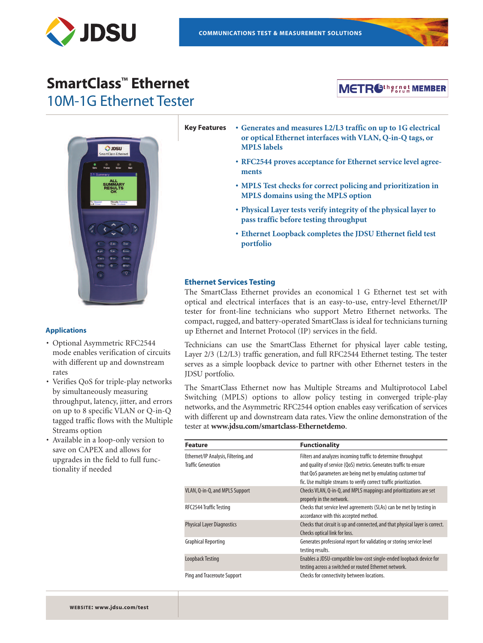

## **SmartClass™ Ethernet** 10M-1G Ethernet Tester





#### **Applications**

- Optional Asymmetric RFC2544 mode enables verification of circuits with different up and downstream rates
- Verifies QoS for triple-play networks by simultaneously measuring throughput, latency, jitter, and errors on up to 8 specific VLAN or Q-in-Q tagged traffic flows with the Multiple Streams option
- Available in a loop-only version to save on CAPEX and allows for upgrades in the field to full functionality if needed

**Key Features • Generates and measures L2/L3 traffic on up to 1G electrical or optical Ethernet interfaces with VLAN, Q-in-Q tags, or MPLS labels**

- **• RFC2544 proves acceptance for Ethernet service level agreements**
- **• MPLS Test checks for correct policing and prioritization in MPLS domains using the MPLS option**
- **• Physical Layer tests verify integrity of the physical layer to pass traffic before testing throughput**
- **• Ethernet Loopback completes the JDSU Ethernet field test portfolio**

#### **Ethernet Services Testing**

The SmartClass Ethernet provides an economical 1 G Ethernet test set with optical and electrical interfaces that is an easy-to-use, entry-level Ethernet/IP tester for front-line technicians who support Metro Ethernet networks. The compact, rugged, and battery-operated SmartClass is ideal for technicians turning up Ethernet and Internet Protocol (IP) services in the field.

Technicians can use the SmartClass Ethernet for physical layer cable testing, Layer 2/3 (L2/L3) traffic generation, and full RFC2544 Ethernet testing. The tester serves as a simple loopback device to partner with other Ethernet testers in the JDSU portfolio.

The SmartClass Ethernet now has Multiple Streams and Multiprotocol Label Switching (MPLS) options to allow policy testing in converged triple-play networks, and the Asymmetric RFC2544 option enables easy verification of services with different up and downstream data rates. View the online demonstration of the tester at **www.jdsu.com/smartclass-Ethernetdemo**.

| <b>Feature</b>                                                    | <b>Functionality</b>                                                                                                                                                                                                                                                      |  |
|-------------------------------------------------------------------|---------------------------------------------------------------------------------------------------------------------------------------------------------------------------------------------------------------------------------------------------------------------------|--|
| Ethernet/IP Analysis, Filtering, and<br><b>Traffic Generation</b> | Filters and analyzes incoming traffic to determine throughput<br>and quality of service (QoS) metrics. Generates traffic to ensure<br>that QoS parameters are being met by emulating customer traf<br>fic. Use multiple streams to verify correct traffic prioritization. |  |
| VLAN, Q-in-Q, and MPLS Support                                    | Checks VLAN, Q-in-Q, and MPLS mappings and prioritizations are set<br>properly in the network.                                                                                                                                                                            |  |
| RFC2544 Traffic Testing                                           | Checks that service level agreements (SLAs) can be met by testing in<br>accordance with this accepted method.                                                                                                                                                             |  |
| <b>Physical Layer Diagnostics</b>                                 | Checks that circuit is up and connected, and that physical layer is correct.<br>Checks optical link for loss.                                                                                                                                                             |  |
| <b>Graphical Reporting</b>                                        | Generates professional report for validating or storing service level<br>testing results.                                                                                                                                                                                 |  |
| <b>Loopback Testing</b>                                           | Enables a JDSU-compatible low-cost single-ended loopback device for<br>testing across a switched or routed Ethernet network.                                                                                                                                              |  |
| Ping and Traceroute Support                                       | Checks for connectivity between locations.                                                                                                                                                                                                                                |  |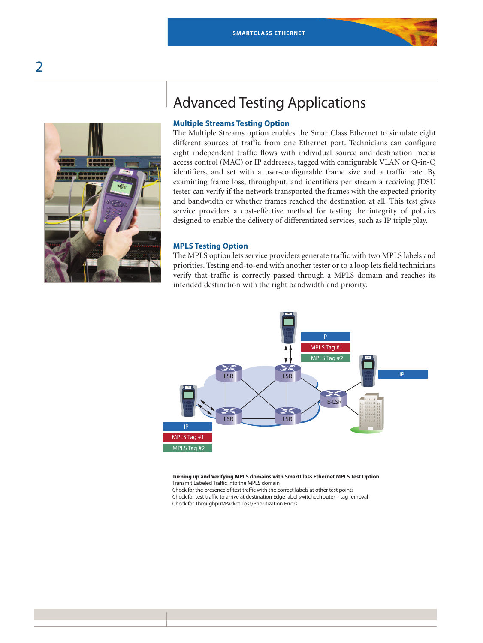

## Advanced Testing Applications

#### **Multiple Streams Testing Option**

The Multiple Streams option enables the SmartClass Ethernet to simulate eight different sources of traffic from one Ethernet port. Technicians can configure eight independent traffic flows with individual source and destination media access control (MAC) or IP addresses, tagged with configurable VLAN or Q-in-Q identifiers, and set with a user-configurable frame size and a traffic rate. By examining frame loss, throughput, and identifiers per stream a receiving JDSU tester can verify if the network transported the frames with the expected priority and bandwidth or whether frames reached the destination at all. This test gives service providers a cost-effective method for testing the integrity of policies designed to enable the delivery of differentiated services, such as IP triple play.

#### **MPLS Testing Option**

The MPLS option lets service providers generate traffic with two MPLS labels and priorities. Testing end-to-end with another tester or to a loop lets field technicians verify that traffic is correctly passed through a MPLS domain and reaches its intended destination with the right bandwidth and priority.



**Turning up and Verifying MPLS domains with SmartClass Ethernet MPLS Test Option** Transmit Labeled Traffic into the MPLS domain

Check for the presence of test traffic with the correct labels at other test points Check for test traffic to arrive at destination Edge label switched router – tag removal Check for Throughput/Packet Loss/Prioritization Errors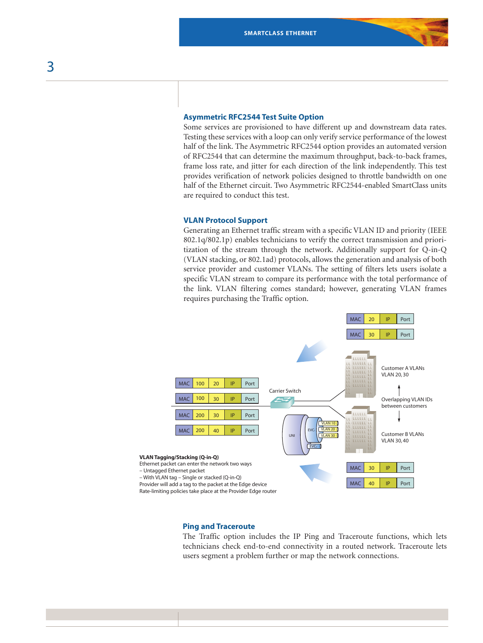#### **Asymmetric RFC2544 Test Suite Option**

Some services are provisioned to have different up and downstream data rates. Testing these services with a loop can only verify service performance of the lowest half of the link. The Asymmetric RFC2544 option provides an automated version of RFC2544 that can determine the maximum throughput, back-to-back frames, frame loss rate, and jitter for each direction of the link independently. This test provides verification of network policies designed to throttle bandwidth on one half of the Ethernet circuit. Two Asymmetric RFC2544-enabled SmartClass units are required to conduct this test.

#### **VLAN Protocol Support**

Generating an Ethernet traffic stream with a specific VLAN ID and priority (IEEE 802.1q/802.1p) enables technicians to verify the correct transmission and prioritization of the stream through the network. Additionally support for Q-in-Q (VLAN stacking, or 802.1ad) protocols, allows the generation and analysis of both service provider and customer VLANs. The setting of filters lets users isolate a specific VLAN stream to compare its performance with the total performance of the link. VLAN filtering comes standard; however, generating VLAN frames requires purchasing the Traffic option.



#### **Ping and Traceroute**

The Traffic option includes the IP Ping and Traceroute functions, which lets technicians check end-to-end connectivity in a routed network. Traceroute lets users segment a problem further or map the network connections.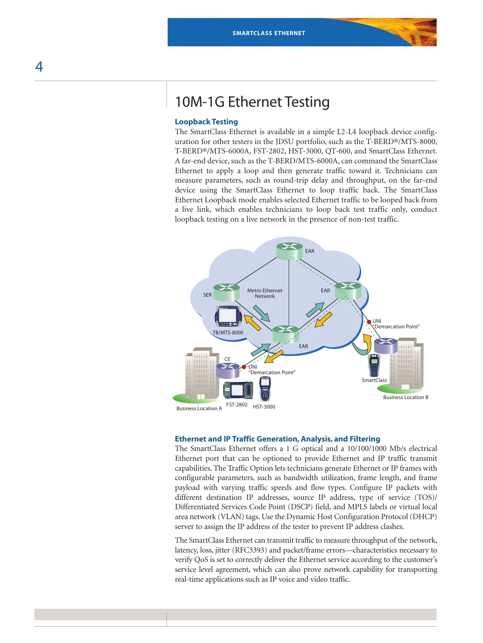## 10M-1G Ethernet Testing

#### **Loopback Testing**

The SmartClass Ethernet is available in a simple L2-L4 loopback device configuration for other testers in the JDSU portfolio, such as the T-BERD®/MTS-8000, T-BERD®/MTS-6000A, FST-2802, HST-3000, QT-600, and SmartClass Ethernet. A far-end device, such as the T-BERD/MTS-6000A, can command the SmartClass Ethernet to apply a loop and then generate traffic toward it. Technicians can measure parameters, such as round-trip delay and throughput, on the far-end device using the SmartClass Ethernet to loop traffic back. The SmartClass Ethernet Loopback mode enables selected Ethernet traffic to be looped back from a live link, which enables technicians to loop back test traffic only, conduct loopback testing on a live network in the presence of non-test traffic.



#### **Ethernet and IP Traffic Generation,Analysis, and Filtering**

The SmartClass Ethernet offers a 1 G optical and a 10/100/1000 Mb/s electrical Ethernet port that can be optioned to provide Ethernet and IP traffic transmit capabilities. The Traffic Option lets technicians generate Ethernet or IP frames with configurable parameters, such as bandwidth utilization, frame length, and frame payload with varying traffic speeds and flow types. Configure IP packets with different destination IP addresses, source IP address, type of service (TOS)/ Differentiated Services Code Point (DSCP) field, and MPLS labels or virtual local area network (VLAN) tags. Use the Dynamic Host Configuration Protocol (DHCP) server to assign the IP address of the tester to prevent IP address clashes.

The SmartClass Ethernet can transmit traffic to measure throughput of the network, latency, loss, jitter (RFC3393) and packet/frame errors—characteristics necessary to verify QoS is set to correctly deliver the Ethernet service according to the customer's service level agreement, which can also prove network capability for transporting real-time applications such as IP voice and video traffic.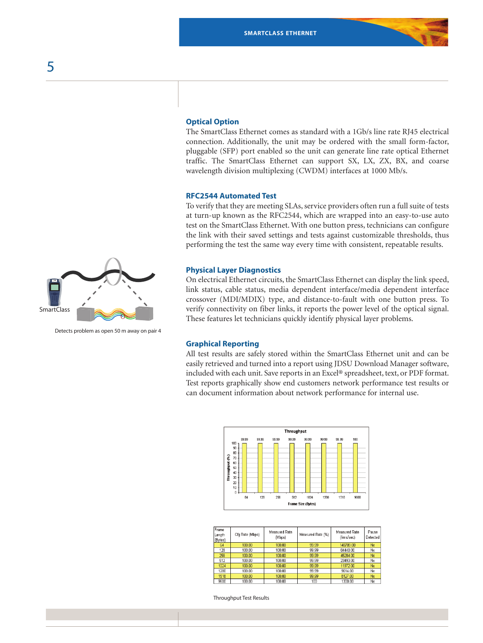# **SmartClass**

Detects problem as open 50 m away on pair 4

#### **Optical Option**

The SmartClass Ethernet comes as standard with a 1Gb/s line rate RJ45 electrical connection. Additionally, the unit may be ordered with the small form-factor, pluggable (SFP) port enabled so the unit can generate line rate optical Ethernet traffic. The SmartClass Ethernet can support SX, LX, ZX, BX, and coarse wavelength division multiplexing (CWDM) interfaces at 1000 Mb/s.

#### **RFC2544 Automated Test**

To verify that they are meeting SLAs, service providers often run a full suite of tests at turn-up known as the RFC2544, which are wrapped into an easy-to-use auto test on the SmartClass Ethernet. With one button press, technicians can configure the link with their saved settings and tests against customizable thresholds, thus performing the test the same way every time with consistent, repeatable results.

#### **Physical Layer Diagnostics**

On electrical Ethernet circuits, the SmartClass Ethernet can display the link speed, link status, cable status, media dependent interface/media dependent interface crossover (MDI/MDIX) type, and distance-to-fault with one button press. To verify connectivity on fiber links, it reports the power level of the optical signal. These features let technicians quickly identify physical layer problems.

#### **Graphical Reporting**

All test results are safely stored within the SmartClass Ethernet unit and can be easily retrieved and turned into a report using JDSU Download Manager software, included with each unit. Save reports in an Excel® spreadsheet, text, or PDF format. Test reports graphically show end customers network performance test results or can document information about network performance for internal use.



| Frame<br>Length<br>(Bytes) | Cfg Rate (Mbps) | Measured Rate<br>(Mbps) | Measured Rate (%) | <b>Measured Rate</b><br>(frms/sec) | Pause<br>Detected |
|----------------------------|-----------------|-------------------------|-------------------|------------------------------------|-------------------|
| 64                         | 100.00          | 100.00                  | 99.99             | 148789.00                          | No                |
| 128                        | 100.00          | 100.00                  | 99.99             | 84448.00                           | No                |
| 256                        | 100.00          | 100.00                  | 99.99             | 45284.00                           | No                |
| 512                        | 100.00          | 100.00                  | 99.99             | 23493.00                           | No                |
| 1024                       | 100.00          | 100.00                  | 99.99             | 11972.00                           | No                |
| 1280                       | 100.00          | 100.00                  | 99.99             | 9614.00                            | No                |
| 1518                       | 100.00          | 100.00                  | 99.99             | 8127.00                            | No                |
| 9600                       | 100.00          | 100.00                  | 100               | 1300.00                            | No                |

Throughput Test Results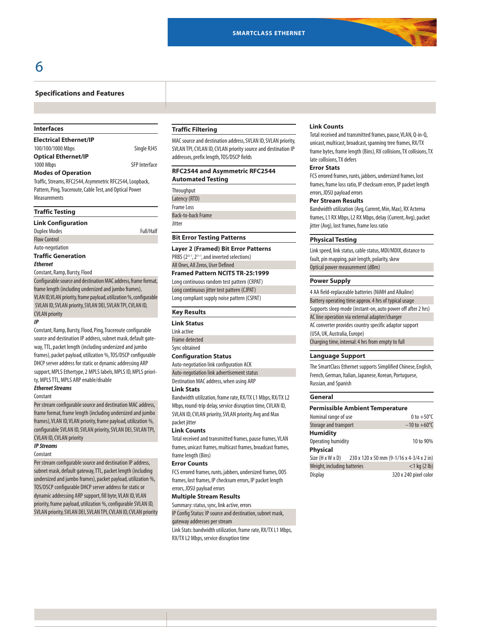#### **Specifications and Features**

#### **Interfaces**

| <b>Electrical Ethernet/IP</b> |                      |
|-------------------------------|----------------------|
| 100/100/1000 Mbps             | Single RJ45          |
| <b>Optical Ethernet/IP</b>    |                      |
| 1000 Mbps                     | <b>SFP</b> Interface |
| <b>Modes of Operation</b>     |                      |

Traffic, Streams, RFC2544, Asymmetric RFC2544, Loopback, Pattern, Ping, Traceroute, Cable Test, and Optical Power Measurements

#### **Traffic Testing**

| <b>Link Configuration</b>                                      |           |
|----------------------------------------------------------------|-----------|
| <b>Duplex Modes</b>                                            | Full/Half |
| <b>Flow Control</b>                                            |           |
| Auto-negotiation                                               |           |
| <b>Traffic Generation</b>                                      |           |
| <b>Ethernet</b>                                                |           |
| Constant, Ramp, Bursty, Flood                                  |           |
| Configurable source and destination MAC address, frame format. |           |

frame length (including undersized and jumbo frames), VLAN ID, VLAN priority, frame payload, utilization %, configurable SVLAN ID, SVLAN priority, SVLAN DEI, SVLAN TPI, CVLAN ID, CVLAN priority

#### **IP**

Constant, Ramp, Bursty, Flood, Ping, Traceroute configurable source and destination IP address, subnet mask, default gateway, TTL, packet length (including undersized and jumbo frames), packet payload, utilization %, TOS/DSCP configurable DHCP server address for static or dynamic addressing ARP support, MPLS Ethertype, 2 MPLS labels, MPLS ID, MPLS priority, MPLS TTL, MPLS ARP enable/disable

#### **Ethernet Streams** Constant

Per stream configurable source and destination MAC address, frame format, frame length (including undersized and jumbo frames), VLAN ID, VLAN priority, frame payload, utilization %, configurable SVLAN ID, SVLAN priority, SVLAN DEI, SVLAN TPI, CVLAN ID, CVLAN priority

#### **IP Streams**

#### **Constant**

Per stream configurable source and destination IP address, subnet mask, default gateway, TTL, packet length (including undersized and jumbo frames), packet payload, utilization %, TOS/DSCP configurable DHCP server address for static or dynamic addressing ARP support, fill byte, VLAN ID, VLAN priority, frame payload, utilization %, configurable SVLAN ID, SVLAN priority, SVLAN DEI, SVLAN TPI, CVLAN ID, CVLAN priority

#### **Traffic Filtering**

MAC source and destination address, SVLAN ID, SVLAN priority, SVLAN TPI, CVLAN ID, CVLAN priority source and destination IP addresses, prefix length, TOS/DSCP fields

#### **RFC2544 and Asymmetric RFC2544 Automated Testing**

**Throughput** Latency(RTD) Frame Loss **Back-to-back Frame** Jitter

#### **Bit Error Testing Patterns**

**Layer 2 (Framed) Bit Error Patterns** PRBS (2<sup>23-1</sup>, 2<sup>31-1</sup>, and inverted selections) All Ones, All Zeros, User Defined

#### **Framed Pattern NCITS TR-25:1999**

Long continuous random test pattern (CRPAT) Long continuous jitter test pattern (CJPAT) Long compliant supply noise pattern (CSPAT)

#### **Key Results**

#### **Link Status**

Linkactive

Frame detected Sync obtained

#### **Configuration Status**

Auto-negotiation link configuration ACK Auto-negotiation linkadvertisement status Destination MAC address, when using ARP

#### **Link Stats**

Bandwidth utilization, frame rate, RX/TX L1 Mbps, RX/TX L2 Mbps, round-trip delay, service disruption time, CVLAN ID, SVLAN ID, CVLAN priority, SVLAN priority, Avg and Max packet jitter

#### **Link Counts**

Total received and transmitted frames, pause frames, VLAN frames, unicast frames, multicast frames, broadcast frames, frame length (Bins)

#### **Error Counts**

FCS errored frames, runts, jabbers, undersized frames, OOS frames, lost frames, IP checksum errors, IP packet length errors, JDSU payload errors

#### **Multiple Stream Results**

Summary: status, sync, link active, errors IP Config Status: IP source and destination, subnet mask,

#### gateway addresses per stream

Link Stats: bandwidth utilization, frame rate, RX/TX L1 Mbps,

RX/TX L2 Mbps, service disruption time

#### **Link Counts**

Total received and transmitted frames, pause, VLAN, Q-in-Q, unicast, multicast, broadcast, spanning tree frames, RX/TX frame bytes, frame length (Bins), RX collisions, TX collisions, TX late collisions, TX defers

#### **Error Stats**

FCS errored frames, runts, jabbers, undersized frames, lost frames, frame loss ratio, IP checksum errors, IP packet length errors, JDSU payload errors

#### **Per Stream Results**

Bandwidth utilization (Avg, Current, Min, Max), RX Acterna frames, L1 RX Mbps, L2 RX Mbps, delay (Current, Avg), packet jitter (Avg), lost frames, frame loss ratio

#### **Physical Testing**

Link speed, link status, cable status, MDI/MDIX, distance to fault, pin mapping, pair length, polarity, skew Optical power measurement (dBm)

#### **Power Supply**

4 AA field-replaceable batteries (NiMH and Alkaline) Battery operating time approx. 4 hrs of typical usage Supports sleep mode (instant-on, auto power off after 2 hrs) AC line operation via external adapter/charger AC converter provides country specific adaptor support (USA,UK, Australia,Europe) Charging time, internal: 4 hrs from empty to full

#### **Language Support**

The SmartClass Ethernet supports Simplified Chinese, English, French, German, Italian, Japanese, Korean, Portuguese, Russian, and Spanish

#### **General**

| <b>Permissible Ambient Temperature</b> |                                           |  |
|----------------------------------------|-------------------------------------------|--|
| Nominal range of use                   | 0 to $+50^{\circ}$ C                      |  |
| Storage and transport                  | $-10$ to $+60^{\circ}$ C                  |  |
| <b>Humidity</b>                        |                                           |  |
| Operating humidity                     | 10 to 90%                                 |  |
| <b>Physical</b>                        |                                           |  |
| Size (H x W x D)                       | 230 x 120 x 50 mm (9-1/16 x 4-3/4 x 2 in) |  |
| Weight, including batteries            | $<$ 1 kg (2 lb)                           |  |
| <b>Display</b>                         | 320 x 240 pixel color                     |  |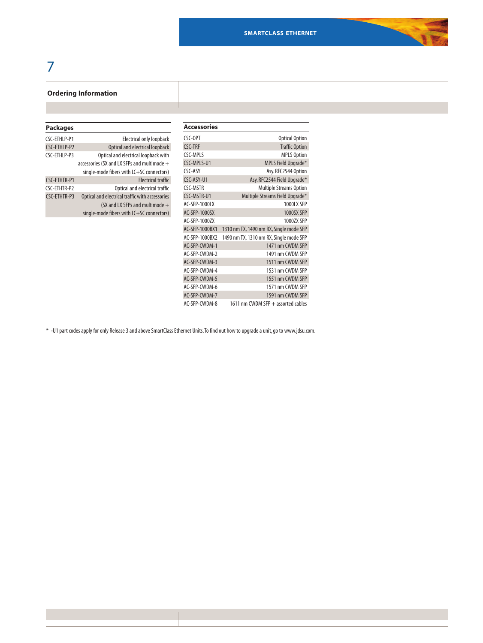## 7

### **Ordering Information**

| <b>Packages</b>     |                                                 |
|---------------------|-------------------------------------------------|
| CSC-FTHI P-P1       | <b>Electrical only loopback</b>                 |
| CSC-ETHLP-P2        | Optical and electrical loopback                 |
| CSC-FTHI P-P3       | Optical and electrical loopback with            |
|                     | accessories (SX and LX SFPs and multimode $+$   |
|                     | single-mode fibers with LC+SC connectors)       |
| <b>CSC-ETHTR-P1</b> | <b>Electrical traffic</b>                       |
| CSC-ETHTR-P2        | Optical and electrical traffic                  |
| CSC-ETHTR-P3        | Optical and electrical traffic with accessories |
|                     | (SX and LX SFPs and multimode +                 |
|                     | single-mode fibers with LC+SC connectors)       |

| <b>Optical Option</b>                   |
|-----------------------------------------|
| <b>Traffic Option</b>                   |
| <b>MPLS Option</b>                      |
| MPLS Field Upgrade*                     |
| Asy.RFC2544 Option                      |
| Asy. RFC2544 Field Upgrade*             |
| <b>Multiple Streams Option</b>          |
| Multiple Streams Field Upgrade*         |
| 1000LX SFP                              |
| 1000SX SFP                              |
| 10007X SFP                              |
| 1310 nm TX, 1490 nm RX, Single mode SFP |
| 1490 nm TX, 1310 nm RX, Single mode SFP |
| 1471 nm CWDM SFP                        |
| 1491 nm CWDM SFP                        |
| 1511 nm CWDM SFP                        |
| 1531 nm CWDM SFP                        |
| 1551 nm CWDM SFP                        |
| 1571 nm CWDM SFP                        |
| 1591 nm CWDM SFP                        |
| 1611 nm CWDM SFP + assorted cables      |
|                                         |

\* -U1part codesapplyforonly Release3andaboveSmartClassEthernet Units.Tofindout how toupgradeaunit,goto www.jdsu.com.